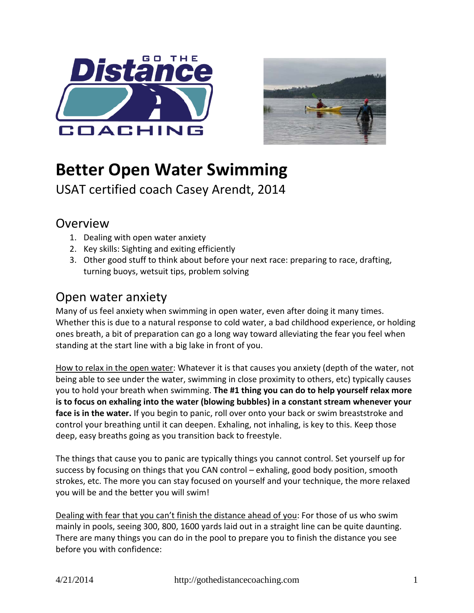



# **Better Open Water Swimming**

USAT certified coach Casey Arendt, 2014

### **Overview**

- 1. Dealing with open water anxiety
- 2. Key skills: Sighting and exiting efficiently
- 3. Other good stuff to think about before your next race: preparing to race, drafting, turning buoys, wetsuit tips, problem solving

### Open water anxiety

Many of us feel anxiety when swimming in open water, even after doing it many times. Whether this is due to a natural response to cold water, a bad childhood experience, or holding ones breath, a bit of preparation can go a long way toward alleviating the fear you feel when standing at the start line with a big lake in front of you.

How to relax in the open water: Whatever it is that causes you anxiety (depth of the water, not being able to see under the water, swimming in close proximity to others, etc) typically causes you to hold your breath when swimming. **The #1 thing you can do to help yourself relax more is to focus on exhaling into the water (blowing bubbles) in a constant stream whenever your face is in the water.** If you begin to panic, roll over onto your back or swim breaststroke and control your breathing until it can deepen. Exhaling, not inhaling, is key to this. Keep those deep, easy breaths going as you transition back to freestyle.

The things that cause you to panic are typically things you cannot control. Set yourself up for success by focusing on things that you CAN control – exhaling, good body position, smooth strokes, etc. The more you can stay focused on yourself and your technique, the more relaxed you will be and the better you will swim!

Dealing with fear that you can't finish the distance ahead of you: For those of us who swim mainly in pools, seeing 300, 800, 1600 yards laid out in a straight line can be quite daunting. There are many things you can do in the pool to prepare you to finish the distance you see before you with confidence: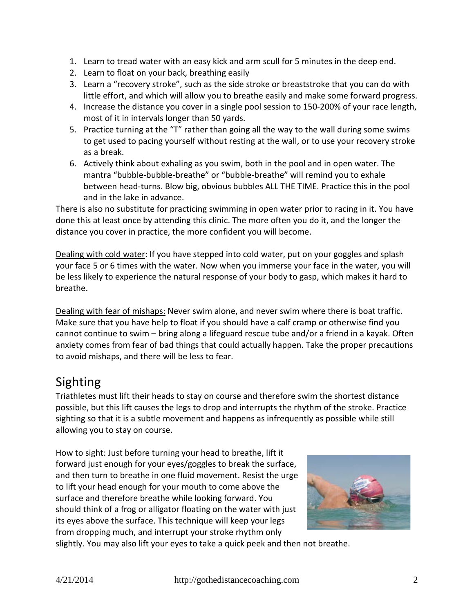- 1. Learn to tread water with an easy kick and arm scull for 5 minutes in the deep end.
- 2. Learn to float on your back, breathing easily
- 3. Learn a "recovery stroke", such as the side stroke or breaststroke that you can do with little effort, and which will allow you to breathe easily and make some forward progress.
- 4. Increase the distance you cover in a single pool session to 150-200% of your race length, most of it in intervals longer than 50 yards.
- 5. Practice turning at the "T" rather than going all the way to the wall during some swims to get used to pacing yourself without resting at the wall, or to use your recovery stroke as a break.
- 6. Actively think about exhaling as you swim, both in the pool and in open water. The mantra "bubble-bubble-breathe" or "bubble-breathe" will remind you to exhale between head-turns. Blow big, obvious bubbles ALL THE TIME. Practice this in the pool and in the lake in advance.

There is also no substitute for practicing swimming in open water prior to racing in it. You have done this at least once by attending this clinic. The more often you do it, and the longer the distance you cover in practice, the more confident you will become.

Dealing with cold water: If you have stepped into cold water, put on your goggles and splash your face 5 or 6 times with the water. Now when you immerse your face in the water, you will be less likely to experience the natural response of your body to gasp, which makes it hard to breathe.

Dealing with fear of mishaps: Never swim alone, and never swim where there is boat traffic. Make sure that you have help to float if you should have a calf cramp or otherwise find you cannot continue to swim – bring along a lifeguard rescue tube and/or a friend in a kayak. Often anxiety comes from fear of bad things that could actually happen. Take the proper precautions to avoid mishaps, and there will be less to fear.

# Sighting

Triathletes must lift their heads to stay on course and therefore swim the shortest distance possible, but this lift causes the legs to drop and interrupts the rhythm of the stroke. Practice sighting so that it is a subtle movement and happens as infrequently as possible while still allowing you to stay on course.

How to sight: Just before turning your head to breathe, lift it forward just enough for your eyes/goggles to break the surface, and then turn to breathe in one fluid movement. Resist the urge to lift your head enough for your mouth to come above the surface and therefore breathe while looking forward. You should think of a frog or alligator floating on the water with just its eyes above the surface. This technique will keep your legs from dropping much, and interrupt your stroke rhythm only



slightly. You may also lift your eyes to take a quick peek and then not breathe.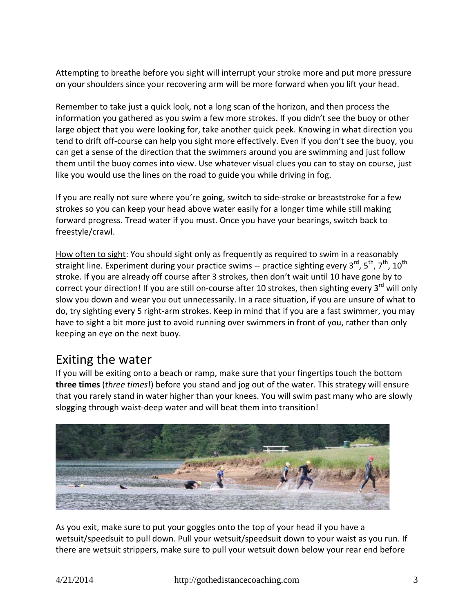Attempting to breathe before you sight will interrupt your stroke more and put more pressure on your shoulders since your recovering arm will be more forward when you lift your head.

Remember to take just a quick look, not a long scan of the horizon, and then process the information you gathered as you swim a few more strokes. If you didn't see the buoy or other large object that you were looking for, take another quick peek. Knowing in what direction you tend to drift off-course can help you sight more effectively. Even if you don't see the buoy, you can get a sense of the direction that the swimmers around you are swimming and just follow them until the buoy comes into view. Use whatever visual clues you can to stay on course, just like you would use the lines on the road to guide you while driving in fog.

If you are really not sure where you're going, switch to side-stroke or breaststroke for a few strokes so you can keep your head above water easily for a longer time while still making forward progress. Tread water if you must. Once you have your bearings, switch back to freestyle/crawl.

How often to sight: You should sight only as frequently as required to swim in a reasonably straight line. Experiment during your practice swims -- practice sighting every 3<sup>rd</sup>, 5<sup>th</sup>, 7<sup>th</sup>, 10<sup>th</sup> stroke. If you are already off course after 3 strokes, then don't wait until 10 have gone by to correct your direction! If you are still on-course after 10 strokes, then sighting every  $3^{rd}$  will only slow you down and wear you out unnecessarily. In a race situation, if you are unsure of what to do, try sighting every 5 right-arm strokes. Keep in mind that if you are a fast swimmer, you may have to sight a bit more just to avoid running over swimmers in front of you, rather than only keeping an eye on the next buoy.

### Exiting the water

If you will be exiting onto a beach or ramp, make sure that your fingertips touch the bottom **three times** (*three times*!) before you stand and jog out of the water. This strategy will ensure that you rarely stand in water higher than your knees. You will swim past many who are slowly slogging through waist-deep water and will beat them into transition!



As you exit, make sure to put your goggles onto the top of your head if you have a wetsuit/speedsuit to pull down. Pull your wetsuit/speedsuit down to your waist as you run. If there are wetsuit strippers, make sure to pull your wetsuit down below your rear end before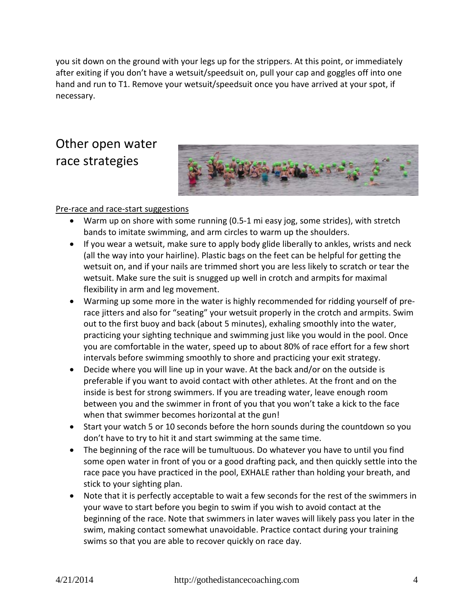you sit down on the ground with your legs up for the strippers. At this point, or immediately after exiting if you don't have a wetsuit/speedsuit on, pull your cap and goggles off into one hand and run to T1. Remove your wetsuit/speedsuit once you have arrived at your spot, if necessary.

# Other open water race strategies



#### Pre-race and race-start suggestions

- Warm up on shore with some running (0.5-1 mi easy jog, some strides), with stretch bands to imitate swimming, and arm circles to warm up the shoulders.
- If you wear a wetsuit, make sure to apply body glide liberally to ankles, wrists and neck (all the way into your hairline). Plastic bags on the feet can be helpful for getting the wetsuit on, and if your nails are trimmed short you are less likely to scratch or tear the wetsuit. Make sure the suit is snugged up well in crotch and armpits for maximal flexibility in arm and leg movement.
- Warming up some more in the water is highly recommended for ridding yourself of prerace jitters and also for "seating" your wetsuit properly in the crotch and armpits. Swim out to the first buoy and back (about 5 minutes), exhaling smoothly into the water, practicing your sighting technique and swimming just like you would in the pool. Once you are comfortable in the water, speed up to about 80% of race effort for a few short intervals before swimming smoothly to shore and practicing your exit strategy.
- Decide where you will line up in your wave. At the back and/or on the outside is preferable if you want to avoid contact with other athletes. At the front and on the inside is best for strong swimmers. If you are treading water, leave enough room between you and the swimmer in front of you that you won't take a kick to the face when that swimmer becomes horizontal at the gun!
- Start your watch 5 or 10 seconds before the horn sounds during the countdown so you don't have to try to hit it and start swimming at the same time.
- The beginning of the race will be tumultuous. Do whatever you have to until you find some open water in front of you or a good drafting pack, and then quickly settle into the race pace you have practiced in the pool, EXHALE rather than holding your breath, and stick to your sighting plan.
- Note that it is perfectly acceptable to wait a few seconds for the rest of the swimmers in your wave to start before you begin to swim if you wish to avoid contact at the beginning of the race. Note that swimmers in later waves will likely pass you later in the swim, making contact somewhat unavoidable. Practice contact during your training swims so that you are able to recover quickly on race day.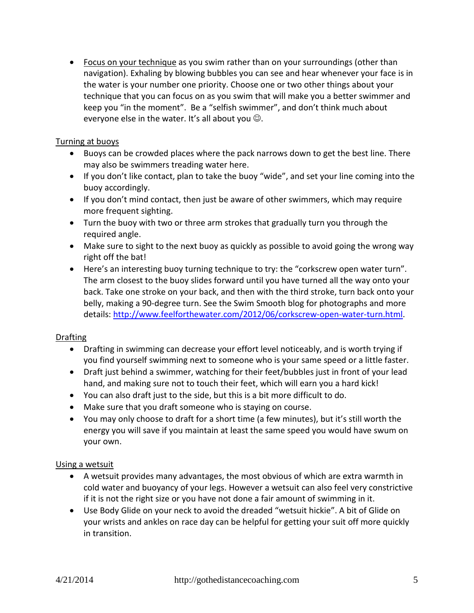• Focus on your technique as you swim rather than on your surroundings (other than navigation). Exhaling by blowing bubbles you can see and hear whenever your face is in the water is your number one priority. Choose one or two other things about your technique that you can focus on as you swim that will make you a better swimmer and keep you "in the moment". Be a "selfish swimmer", and don't think much about everyone else in the water. It's all about you  $\odot$ .

#### Turning at buoys

- Buoys can be crowded places where the pack narrows down to get the best line. There may also be swimmers treading water here.
- If you don't like contact, plan to take the buoy "wide", and set your line coming into the buoy accordingly.
- If you don't mind contact, then just be aware of other swimmers, which may require more frequent sighting.
- Turn the buoy with two or three arm strokes that gradually turn you through the required angle.
- Make sure to sight to the next buoy as quickly as possible to avoid going the wrong way right off the bat!
- Here's an interesting buoy turning technique to try: the "corkscrew open water turn". The arm closest to the buoy slides forward until you have turned all the way onto your back. Take one stroke on your back, and then with the third stroke, turn back onto your belly, making a 90-degree turn. See the Swim Smooth blog for photographs and more details: [http://www.feelforthewater.com/2012/06/corkscrew-open-water-turn.html.](http://www.feelforthewater.com/2012/06/corkscrew-open-water-turn.html)

#### Drafting

- Drafting in swimming can decrease your effort level noticeably, and is worth trying if you find yourself swimming next to someone who is your same speed or a little faster.
- Draft just behind a swimmer, watching for their feet/bubbles just in front of your lead hand, and making sure not to touch their feet, which will earn you a hard kick!
- You can also draft just to the side, but this is a bit more difficult to do.
- Make sure that you draft someone who is staying on course.
- You may only choose to draft for a short time (a few minutes), but it's still worth the energy you will save if you maintain at least the same speed you would have swum on your own.

#### Using a wetsuit

- A wetsuit provides many advantages, the most obvious of which are extra warmth in cold water and buoyancy of your legs. However a wetsuit can also feel very constrictive if it is not the right size or you have not done a fair amount of swimming in it.
- Use Body Glide on your neck to avoid the dreaded "wetsuit hickie". A bit of Glide on your wrists and ankles on race day can be helpful for getting your suit off more quickly in transition.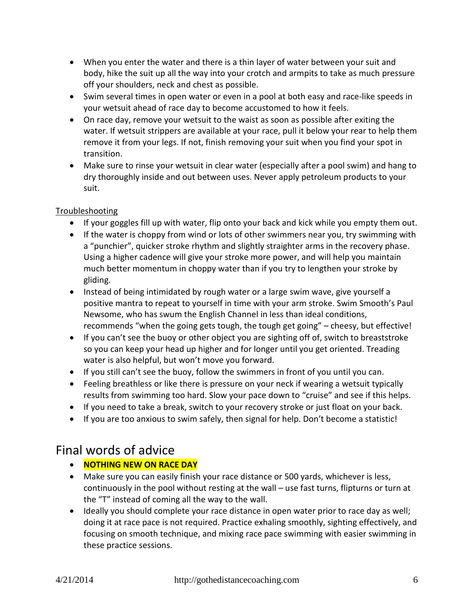- When you enter the water and there is a thin layer of water between your suit and body, hike the suit up all the way into your crotch and armpits to take as much pressure off your shoulders, neck and chest as possible.
- Swim several times in open water or even in a pool at both easy and race-like speeds in your wetsuit ahead of race day to become accustomed to how it feels.
- On race day, remove your wetsuit to the waist as soon as possible after exiting the water. If wetsuit strippers are available at your race, pull it below your rear to help them remove it from your legs. If not, finish removing your suit when you find your spot in transition.
- Make sure to rinse your wetsuit in clear water (especially after a pool swim) and hang to dry thoroughly inside and out between uses. Never apply petroleum products to your suit.

#### **Troubleshooting**

- If your goggles fill up with water, flip onto your back and kick while you empty them out.
- If the water is choppy from wind or lots of other swimmers near you, try swimming with a "punchier", quicker stroke rhythm and slightly straighter arms in the recovery phase. Using a higher cadence will give your stroke more power, and will help you maintain much better momentum in choppy water than if you try to lengthen your stroke by gliding.
- Instead of being intimidated by rough water or a large swim wave, give yourself a positive mantra to repeat to yourself in time with your arm stroke. Swim Smooth's Paul Newsome, who has swum the English Channel in less than ideal conditions, recommends "when the going gets tough, the tough get going" – cheesy, but effective!
- If you can't see the buoy or other object you are sighting off of, switch to breaststroke so you can keep your head up higher and for longer until you get oriented. Treading water is also helpful, but won't move you forward.
- If you still can't see the buoy, follow the swimmers in front of you until you can.
- Feeling breathless or like there is pressure on your neck if wearing a wetsuit typically results from swimming too hard. Slow your pace down to "cruise" and see if this helps.
- If you need to take a break, switch to your recovery stroke or just float on your back.
- If you are too anxious to swim safely, then signal for help. Don't become a statistic!

# Final words of advice

- **NOTHING NEW ON RACE DAY**
- Make sure you can easily finish your race distance or 500 yards, whichever is less, continuously in the pool without resting at the wall – use fast turns, flipturns or turn at the "T" instead of coming all the way to the wall.
- Ideally you should complete your race distance in open water prior to race day as well; doing it at race pace is not required. Practice exhaling smoothly, sighting effectively, and focusing on smooth technique, and mixing race pace swimming with easier swimming in these practice sessions.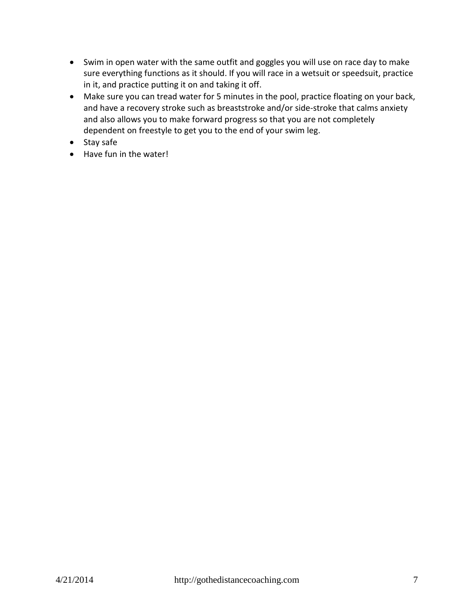- Swim in open water with the same outfit and goggles you will use on race day to make sure everything functions as it should. If you will race in a wetsuit or speedsuit, practice in it, and practice putting it on and taking it off.
- Make sure you can tread water for 5 minutes in the pool, practice floating on your back, and have a recovery stroke such as breaststroke and/or side-stroke that calms anxiety and also allows you to make forward progress so that you are not completely dependent on freestyle to get you to the end of your swim leg.
- Stay safe
- Have fun in the water!